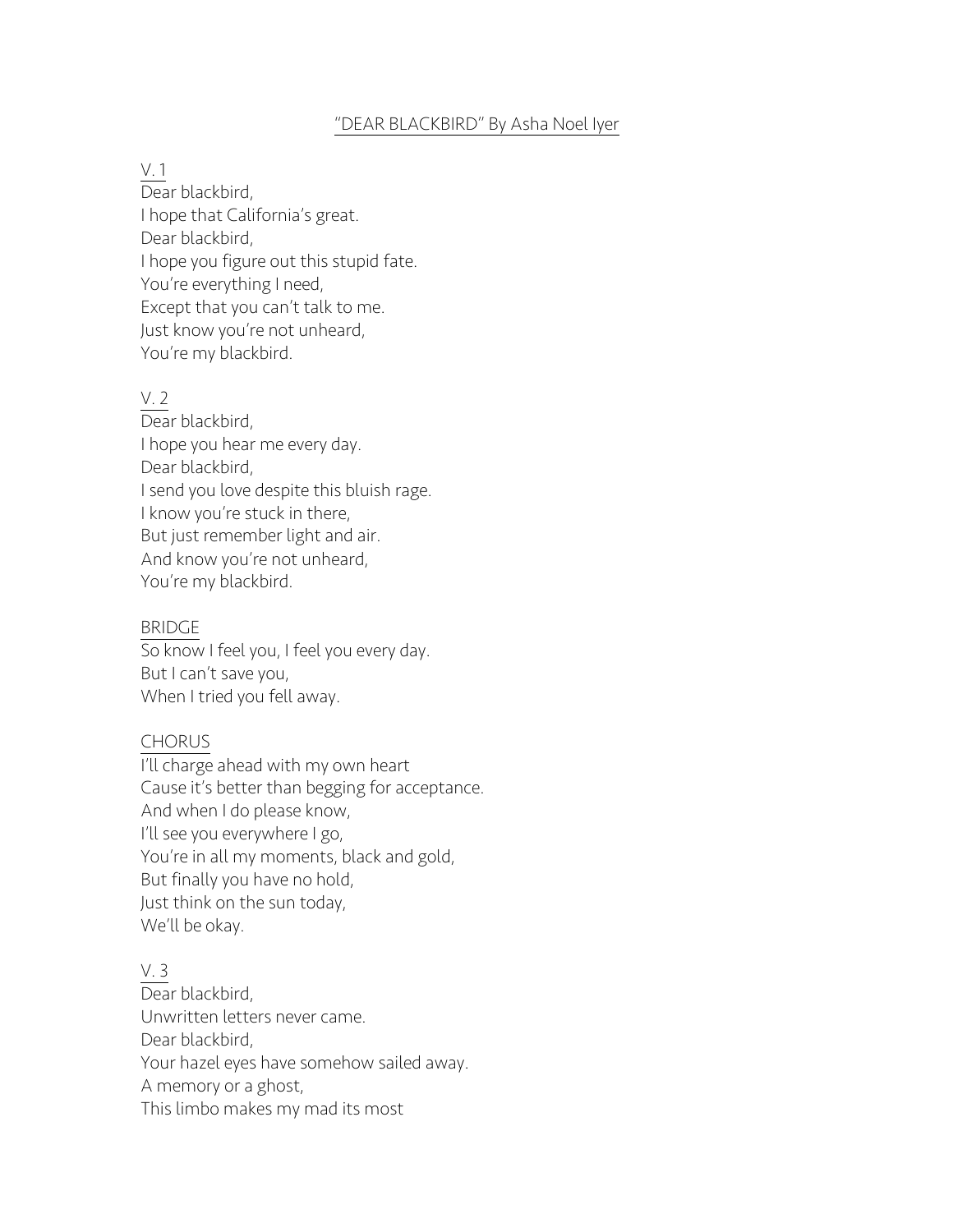#### "DEAR BLACKBIRD" By Asha Noel Iyer

#### V. 1

Dear blackbird, I hope that California's great. Dear blackbird, I hope you figure out this stupid fate. You're everything I need, Except that you can't talk to me. Just know you're not unheard, You're my blackbird.

# V. 2

Dear blackbird, I hope you hear me every day. Dear blackbird, I send you love despite this bluish rage. I know you're stuck in there, But just remember light and air. And know you're not unheard, You're my blackbird.

## BRIDGE

So know I feel you, I feel you every day. But I can't save you, When I tried you fell away.

## CHORUS

I'll charge ahead with my own heart Cause it's better than begging for acceptance. And when I do please know, I'll see you everywhere I go, You're in all my moments, black and gold, But finally you have no hold, Just think on the sun today, We'll be okay.

## V. 3

Dear blackbird. Unwritten letters never came. Dear blackbird, Your hazel eyes have somehow sailed away. A memory or a ghost, This limbo makes my mad its most